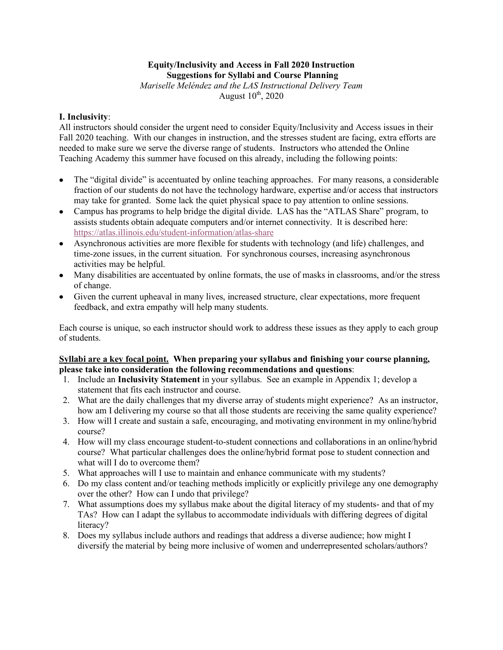## **Equity/Inclusivity and Access in Fall 2020 Instruction Suggestions for Syllabi and Course Planning**

*Mariselle Meléndez and the LAS Instructional Delivery Team* August  $10^{th}$ , 2020

## **I. Inclusivity**:

All instructors should consider the urgent need to consider Equity/Inclusivity and Access issues in their Fall 2020 teaching. With our changes in instruction, and the stresses student are facing, extra efforts are needed to make sure we serve the diverse range of students. Instructors who attended the Online Teaching Academy this summer have focused on this already, including the following points:

- The "digital divide" is accentuated by online teaching approaches. For many reasons, a considerable fraction of our students do not have the technology hardware, expertise and/or access that instructors may take for granted. Some lack the quiet physical space to pay attention to online sessions.
- Campus has programs to help bridge the digital divide. LAS has the "ATLAS Share" program, to assists students obtain adequate computers and/or internet connectivity. It is described here: https://atlas.illinois.edu/student-information/atlas-share
- Asynchronous activities are more flexible for students with technology (and life) challenges, and time-zone issues, in the current situation. For synchronous courses, increasing asynchronous activities may be helpful.
- Many disabilities are accentuated by online formats, the use of masks in classrooms, and/or the stress of change.
- Given the current upheaval in many lives, increased structure, clear expectations, more frequent feedback, and extra empathy will help many students.

Each course is unique, so each instructor should work to address these issues as they apply to each group of students.

## **Syllabi are a key focal point. When preparing your syllabus and finishing your course planning, please take into consideration the following recommendations and questions**:

- 1. Include an **Inclusivity Statement** in your syllabus. See an example in Appendix 1; develop a statement that fits each instructor and course.
- 2. What are the daily challenges that my diverse array of students might experience? As an instructor, how am I delivering my course so that all those students are receiving the same quality experience?
- 3. How will I create and sustain a safe, encouraging, and motivating environment in my online/hybrid course?
- 4. How will my class encourage student-to-student connections and collaborations in an online/hybrid course? What particular challenges does the online/hybrid format pose to student connection and what will I do to overcome them?
- 5. What approaches will I use to maintain and enhance communicate with my students?
- 6. Do my class content and/or teaching methods implicitly or explicitly privilege any one demography over the other? How can I undo that privilege?
- 7. What assumptions does my syllabus make about the digital literacy of my students- and that of my TAs? How can I adapt the syllabus to accommodate individuals with differing degrees of digital literacy?
- 8. Does my syllabus include authors and readings that address a diverse audience; how might I diversify the material by being more inclusive of women and underrepresented scholars/authors?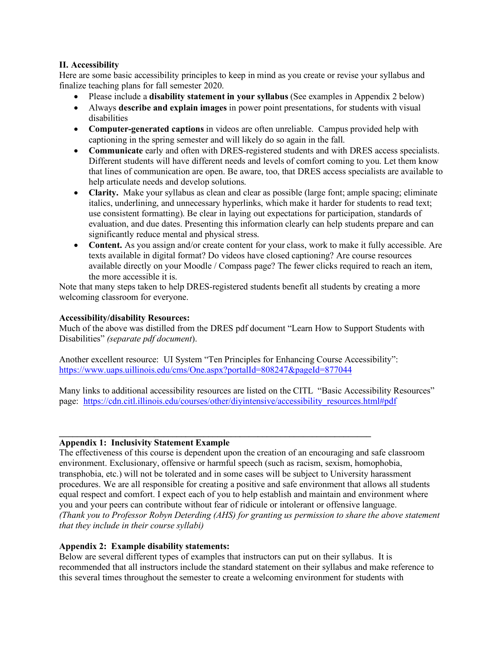# **II. Accessibility**

Here are some basic accessibility principles to keep in mind as you create or revise your syllabus and finalize teaching plans for fall semester 2020.

- Please include a **disability statement in your syllabus** (See examples in Appendix 2 below)
- Always **describe and explain images** in power point presentations, for students with visual disabilities
- **Computer-generated captions** in videos are often unreliable. Campus provided help with captioning in the spring semester and will likely do so again in the fall.
- **Communicate** early and often with DRES-registered students and with DRES access specialists. Different students will have different needs and levels of comfort coming to you. Let them know that lines of communication are open. Be aware, too, that DRES access specialists are available to help articulate needs and develop solutions.
- **Clarity.** Make your syllabus as clean and clear as possible (large font; ample spacing; eliminate italics, underlining, and unnecessary hyperlinks, which make it harder for students to read text; use consistent formatting). Be clear in laying out expectations for participation, standards of evaluation, and due dates. Presenting this information clearly can help students prepare and can significantly reduce mental and physical stress.
- **Content.** As you assign and/or create content for your class, work to make it fully accessible. Are texts available in digital format? Do videos have closed captioning? Are course resources available directly on your Moodle / Compass page? The fewer clicks required to reach an item, the more accessible it is.

Note that many steps taken to help DRES-registered students benefit all students by creating a more welcoming classroom for everyone.

### **Accessibility/disability Resources:**

Much of the above was distilled from the DRES pdf document "Learn How to Support Students with Disabilities" *(separate pdf document*).

Another excellent resource: UI System "Ten Principles for Enhancing Course Accessibility": https://www.uaps.uillinois.edu/cms/One.aspx?portalId=808247&pageId=877044

**\_\_\_\_\_\_\_\_\_\_\_\_\_\_\_\_\_\_\_\_\_\_\_\_\_\_\_\_\_\_\_\_\_\_\_\_\_\_\_\_\_\_\_\_\_\_\_\_\_\_\_\_\_\_\_\_\_\_\_\_\_\_\_\_\_\_\_\_\_**

Many links to additional accessibility resources are listed on the CITL "Basic Accessibility Resources" page: https://cdn.citl.illinois.edu/courses/other/diyintensive/accessibility\_resources.html#pdf

## **Appendix 1: Inclusivity Statement Example**

The effectiveness of this course is dependent upon the creation of an encouraging and safe classroom environment. Exclusionary, offensive or harmful speech (such as racism, sexism, homophobia, transphobia, etc.) will not be tolerated and in some cases will be subject to University harassment procedures. We are all responsible for creating a positive and safe environment that allows all students equal respect and comfort. I expect each of you to help establish and maintain and environment where you and your peers can contribute without fear of ridicule or intolerant or offensive language. *(Thank you to Professor Robyn Deterding (AHS) for granting us permission to share the above statement that they include in their course syllabi)*

# **Appendix 2: Example disability statements:**

Below are several different types of examples that instructors can put on their syllabus. It is recommended that all instructors include the standard statement on their syllabus and make reference to this several times throughout the semester to create a welcoming environment for students with